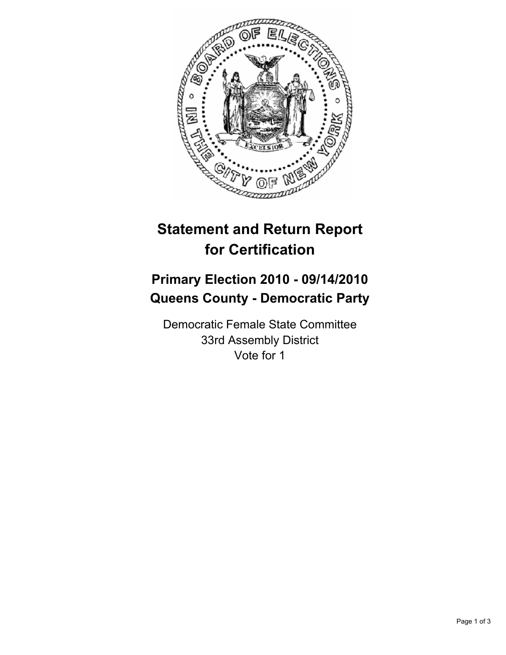

# **Statement and Return Report for Certification**

## **Primary Election 2010 - 09/14/2010 Queens County - Democratic Party**

Democratic Female State Committee 33rd Assembly District Vote for 1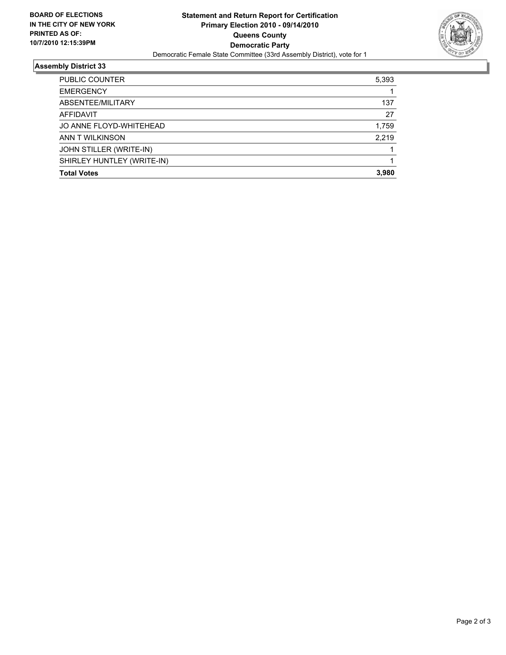

### **Assembly District 33**

| <b>PUBLIC COUNTER</b>      | 5,393 |
|----------------------------|-------|
| <b>EMERGENCY</b>           |       |
| ABSENTEE/MILITARY          | 137   |
| AFFIDAVIT                  | 27    |
| JO ANNE FLOYD-WHITEHEAD    | 1,759 |
| ANN T WILKINSON            | 2.219 |
| JOHN STILLER (WRITE-IN)    |       |
| SHIRLEY HUNTLEY (WRITE-IN) |       |
| <b>Total Votes</b>         | 3.980 |